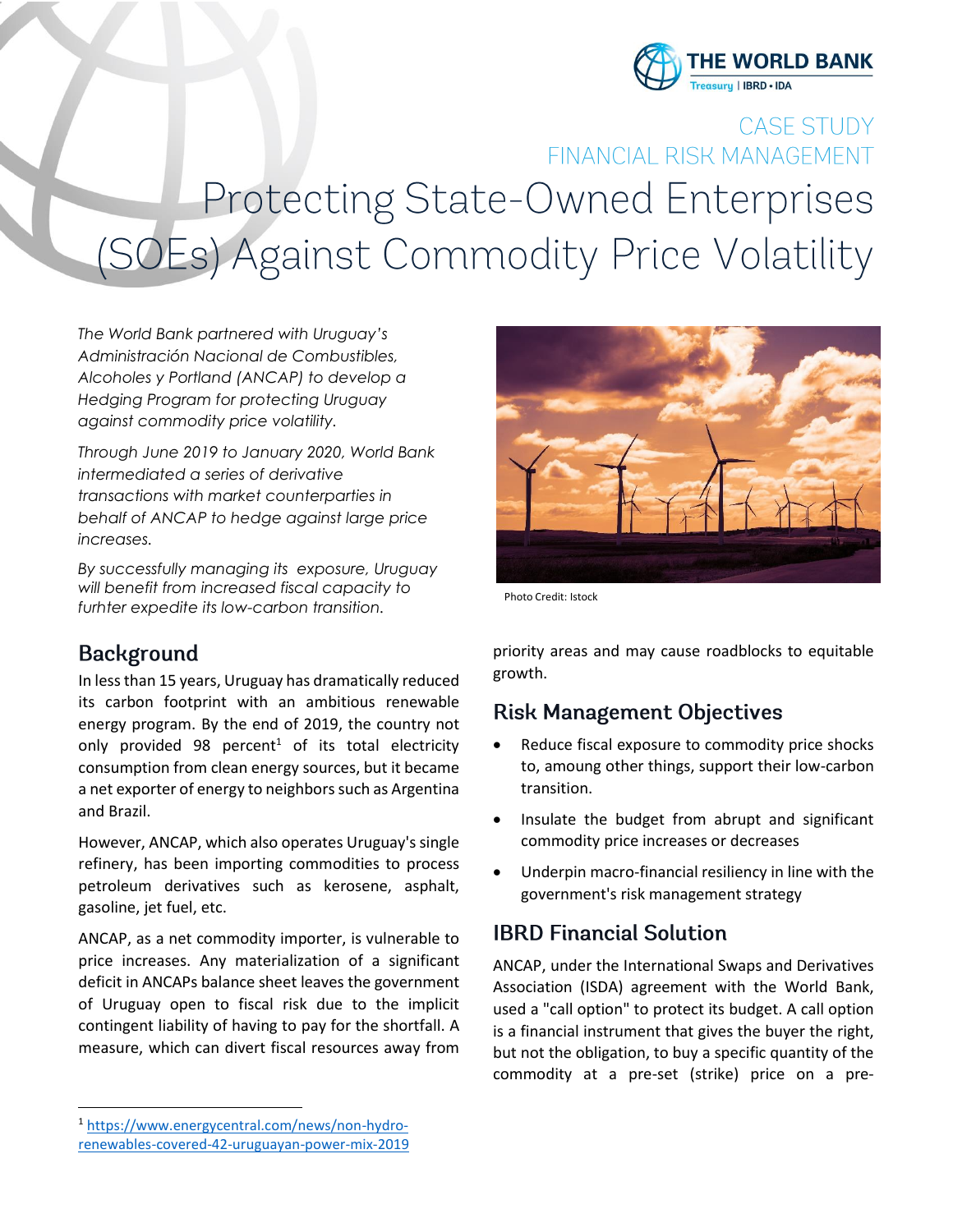

# CASE STUDY FINANCIAL RISK MANAGEMENT Protecting State-Owned Enterprises (SOEs) Against Commodity Price Volatility

*The World Bank partnered with Uruguay's Administración Nacional de Combustibles, Alcoholes y Portland (ANCAP) to develop a Hedging Program for protecting Uruguay against commodity price volatility.* 

*Through June 2019 to January 2020, World Bank intermediated a series of derivative transactions with market counterparties in behalf of ANCAP to hedge against large price increases.*

*By successfully managing its exposure, Uruguay will benefit from increased fiscal capacity to furhter expedite its low-carbon transition.*

### **Background**

In less than 15 years, Uruguay has dramatically reduced its carbon footprint with an ambitious renewable energy program. By the end of 2019, the country not only provided 98 percent<sup>1</sup> of its total electricity consumption from clean energy sources, but it became a net exporter of energy to neighbors such as Argentina and Brazil.

However, ANCAP, which also operates Uruguay's single refinery, has been importing commodities to process petroleum derivatives such as kerosene, asphalt, gasoline, jet fuel, etc.

ANCAP, as a net commodity importer, is vulnerable to price increases. Any materialization of a significant deficit in ANCAPs balance sheet leaves the government of Uruguay open to fiscal risk due to the implicit contingent liability of having to pay for the shortfall. A measure, which can divert fiscal resources away from



Photo Credit: Istock

priority areas and may cause roadblocks to equitable growth.

# **Risk Management Objectives**

- Reduce fiscal exposure to commodity price shocks to, amoung other things, support their low-carbon transition.
- Insulate the budget from abrupt and significant commodity price increases or decreases
- Underpin macro-financial resiliency in line with the government's risk management strategy

# **IBRD Financial Solution**

ANCAP, under the International Swaps and Derivatives Association (ISDA) agreement with the World Bank, used a "call option" to protect its budget. A call option is a financial instrument that gives the buyer the right, but not the obligation, to buy a specific quantity of the commodity at a pre-set (strike) price on a pre-

<sup>1</sup> [https://www.energycentral.com/news/non-hydro](https://www.energycentral.com/news/non-hydro-renewables-covered-42-uruguayan-power-mix-2019)[renewables-covered-42-uruguayan-power-mix-2019](https://www.energycentral.com/news/non-hydro-renewables-covered-42-uruguayan-power-mix-2019)